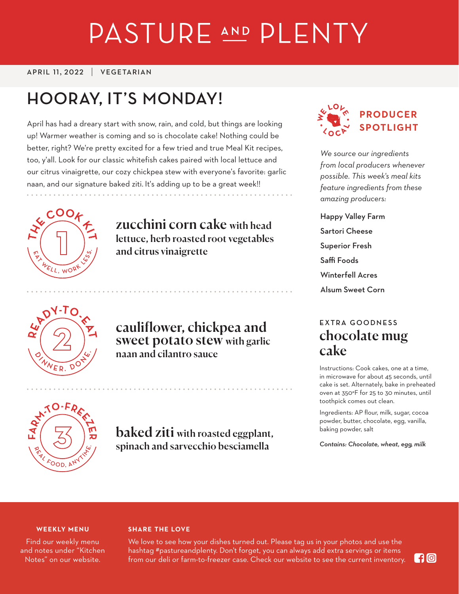# PASTURE AND PLENTY

#### APRIL 11, 2022 VEGETARIAN

## **HOORAY, IT'S MONDAY!**

April has had a dreary start with snow, rain, and cold, but things are looking up! Warmer weather is coming and so is chocolate cake! Nothing could be better, right? We're pretty excited for a few tried and true Meal Kit recipes, too, y'all. Look for our classic whitefish cakes paired with local lettuce and our citrus vinaigrette, our cozy chickpea stew with everyone's favorite: garlic naan, and our signature baked ziti. It's adding up to be a great week!!



zucchini corn cake with head lettuce, herb roasted root vegetables and citrus vinaigrette



cauliflower, chickpea and sweet potato stew with garlic naan and cilantro sauce



*We source our ingredients from local producers whenever possible. This week's meal kits feature ingredients from these amazing producers:*

Happy Valley Farm Sartori Cheese Superior Fresh Saffi Foods Winterfell Acres Alsum Sweet Corn

## **EXTRA GOODNESS** chocolate mug cake

Instructions: Cook cakes, one at a time, in microwave for about 45 seconds, until cake is set. Alternately, bake in preheated oven at 350°F for 25 to 30 minutes, until toothpick comes out clean.

Ingredients: AP flour, milk, sugar, cocoa powder, butter, chocolate, egg, vanilla, baking powder, salt

*Contains: Chocolate, wheat, egg, milk*



baked ziti with roasted eggplant, spinach and sarvecchio besciamella

#### **WEEKLY MENU**

Find our weekly menu and notes under "Kitchen Notes" on our website.

#### **SHARE THE LOVE**

We love to see how your dishes turned out. Please tag us in your photos and use the hashtag #pastureandplenty. Don't forget, you can always add extra servings or items from our deli or farm-to-freezer case. Check our website to see the current inventory.

**G**O